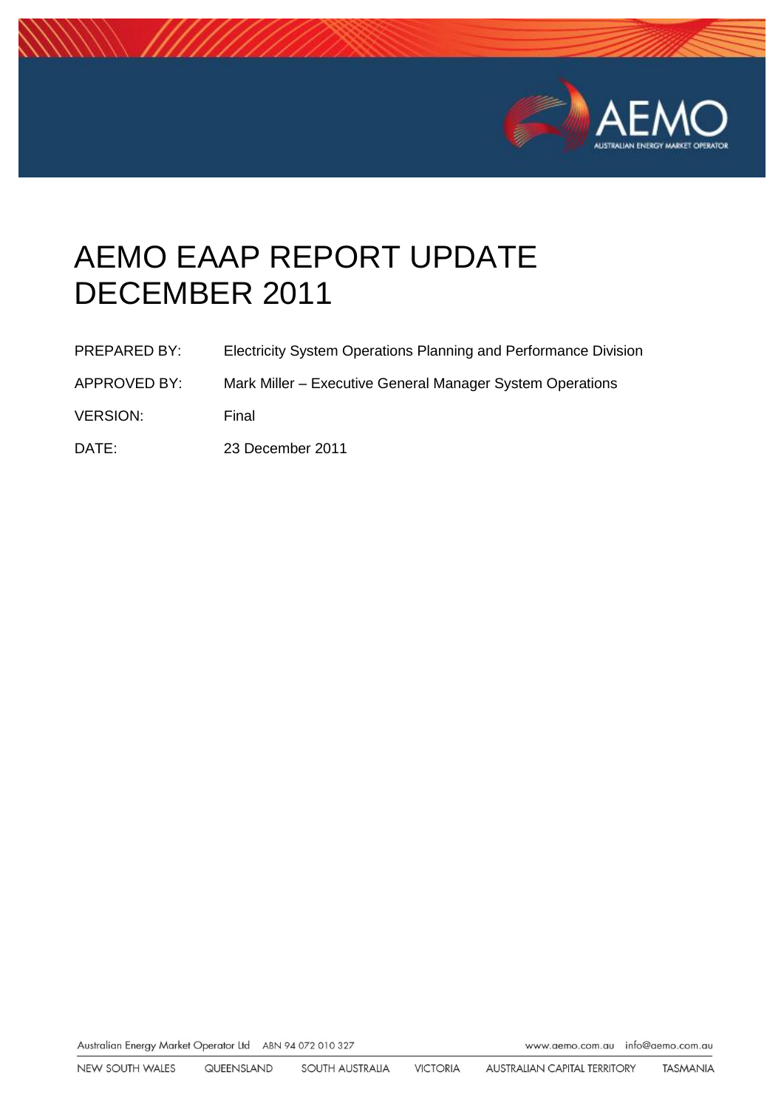

# AEMO EAAP REPORT UPDATE DECEMBER 2011

| <b>PREPARED BY:</b> | Electricity System Operations Planning and Performance Division |
|---------------------|-----------------------------------------------------------------|
| APPROVED BY:        | Mark Miller – Executive General Manager System Operations       |
| <b>VERSION:</b>     | Final                                                           |

DATE: 23 December 2011

Australian Energy Market Operator Ltd ABN 94 072 010 327

www.aemo.com.au info@aemo.com.au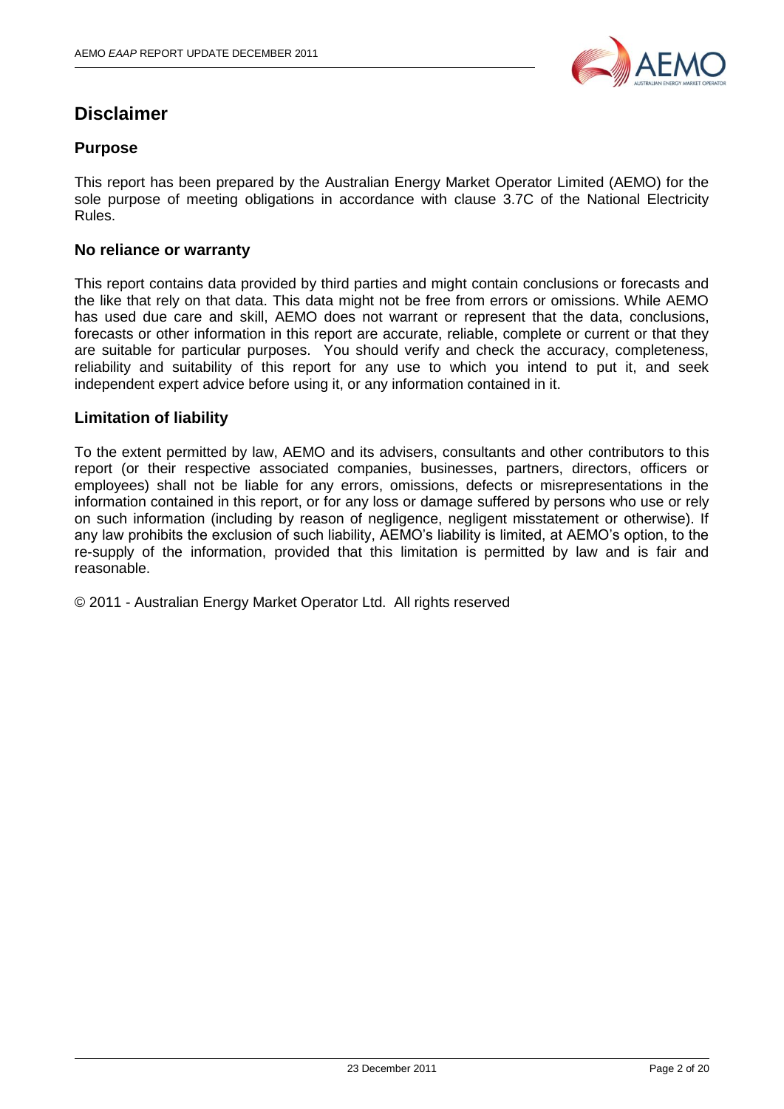

# **Disclaimer**

#### **Purpose**

This report has been prepared by the Australian Energy Market Operator Limited (AEMO) for the sole purpose of meeting obligations in accordance with clause 3.7C of the National Electricity Rules.

#### **No reliance or warranty**

This report contains data provided by third parties and might contain conclusions or forecasts and the like that rely on that data. This data might not be free from errors or omissions. While AEMO has used due care and skill, AEMO does not warrant or represent that the data, conclusions, forecasts or other information in this report are accurate, reliable, complete or current or that they are suitable for particular purposes. You should verify and check the accuracy, completeness, reliability and suitability of this report for any use to which you intend to put it, and seek independent expert advice before using it, or any information contained in it.

#### **Limitation of liability**

To the extent permitted by law, AEMO and its advisers, consultants and other contributors to this report (or their respective associated companies, businesses, partners, directors, officers or employees) shall not be liable for any errors, omissions, defects or misrepresentations in the information contained in this report, or for any loss or damage suffered by persons who use or rely on such information (including by reason of negligence, negligent misstatement or otherwise). If any law prohibits the exclusion of such liability, AEMO"s liability is limited, at AEMO"s option, to the re-supply of the information, provided that this limitation is permitted by law and is fair and reasonable.

© 2011 - Australian Energy Market Operator Ltd. All rights reserved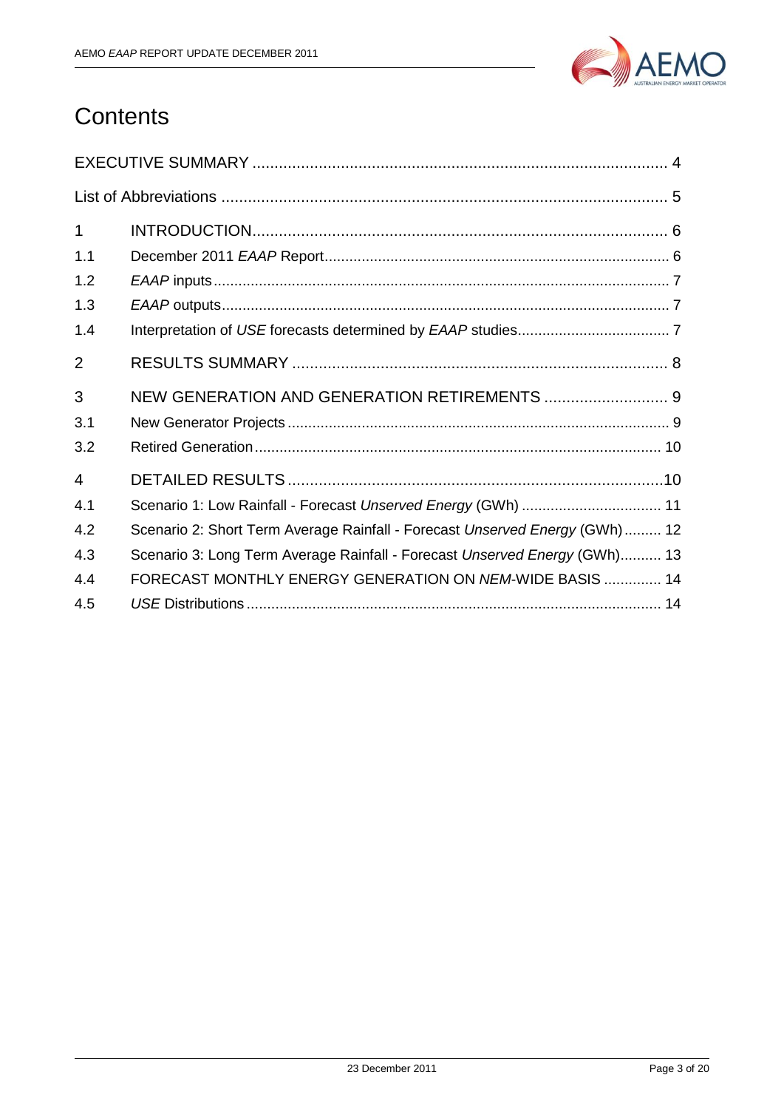

# **Contents**

| $\mathbf{1}$   |                                                                             |
|----------------|-----------------------------------------------------------------------------|
| 1.1            |                                                                             |
| 1.2            |                                                                             |
| 1.3            |                                                                             |
| 1.4            |                                                                             |
| $\overline{2}$ |                                                                             |
| 3              | NEW GENERATION AND GENERATION RETIREMENTS  9                                |
| 3.1            |                                                                             |
| 3.2            |                                                                             |
| 4              |                                                                             |
| 4.1            | Scenario 1: Low Rainfall - Forecast Unserved Energy (GWh)  11               |
| 4.2            | Scenario 2: Short Term Average Rainfall - Forecast Unserved Energy (GWh) 12 |
| 4.3            | Scenario 3: Long Term Average Rainfall - Forecast Unserved Energy (GWh) 13  |
| 4.4            | FORECAST MONTHLY ENERGY GENERATION ON NEM-WIDE BASIS  14                    |
| 4.5            |                                                                             |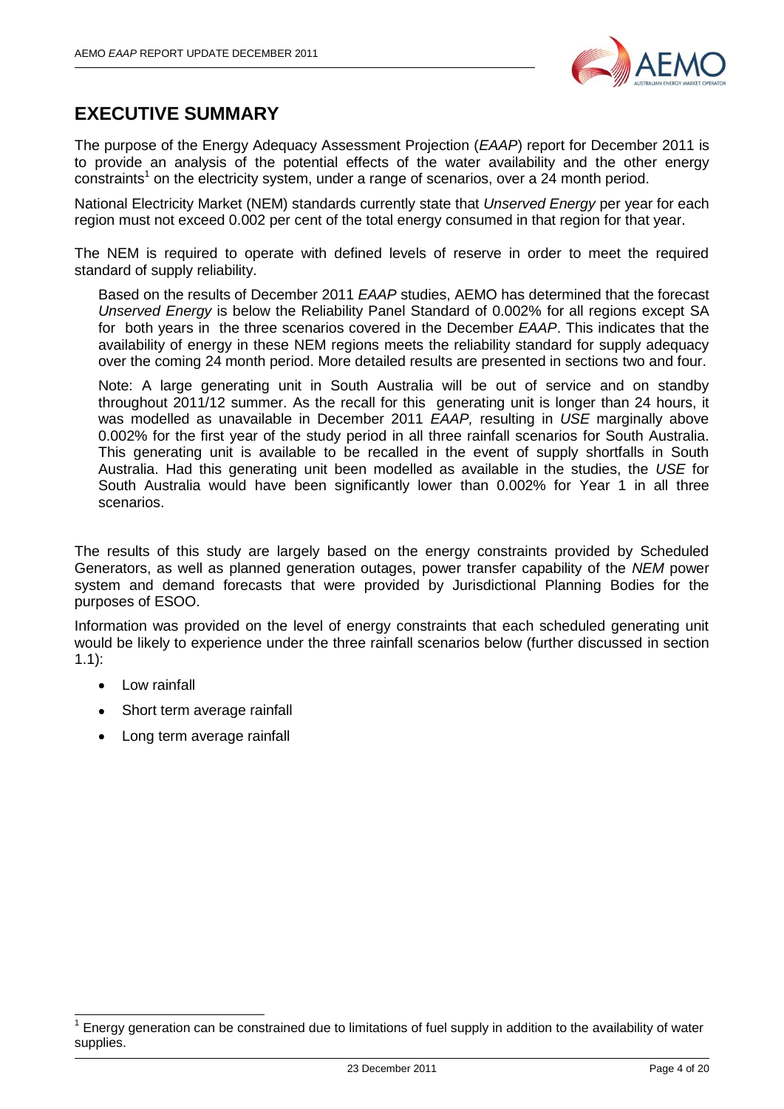

# <span id="page-3-0"></span>**EXECUTIVE SUMMARY**

The purpose of the Energy Adequacy Assessment Projection (*EAAP*) report for December 2011 is to provide an analysis of the potential effects of the water availability and the other energy constraints<sup>1</sup> on the electricity system, under a range of scenarios, over a 24 month period.

National Electricity Market (NEM) standards currently state that *Unserved Energy* per year for each region must not exceed 0.002 per cent of the total energy consumed in that region for that year.

The NEM is required to operate with defined levels of reserve in order to meet the required standard of supply reliability.

Based on the results of December 2011 *EAAP* studies, AEMO has determined that the forecast *Unserved Energy* is below the Reliability Panel Standard of 0.002% for all regions except SA for both years in the three scenarios covered in the December *EAAP*. This indicates that the availability of energy in these NEM regions meets the reliability standard for supply adequacy over the coming 24 month period. More detailed results are presented in sections two and four.

Note: A large generating unit in South Australia will be out of service and on standby throughout 2011/12 summer. As the recall for this generating unit is longer than 24 hours, it was modelled as unavailable in December 2011 *EAAP,* resulting in *USE* marginally above 0.002% for the first year of the study period in all three rainfall scenarios for South Australia. This generating unit is available to be recalled in the event of supply shortfalls in South Australia. Had this generating unit been modelled as available in the studies, the *USE* for South Australia would have been significantly lower than 0.002% for Year 1 in all three scenarios.

The results of this study are largely based on the energy constraints provided by Scheduled Generators, as well as planned generation outages, power transfer capability of the *NEM* power system and demand forecasts that were provided by Jurisdictional Planning Bodies for the purposes of ESOO.

Information was provided on the level of energy constraints that each scheduled generating unit would be likely to experience under the three rainfall scenarios below (further discussed in section [1.1\)](#page-5-1):

• Low rainfall

 $\overline{\phantom{a}}$ 

- Short term average rainfall  $\bullet$
- Long term average rainfall  $\bullet$

<sup>1</sup> Energy generation can be constrained due to limitations of fuel supply in addition to the availability of water supplies.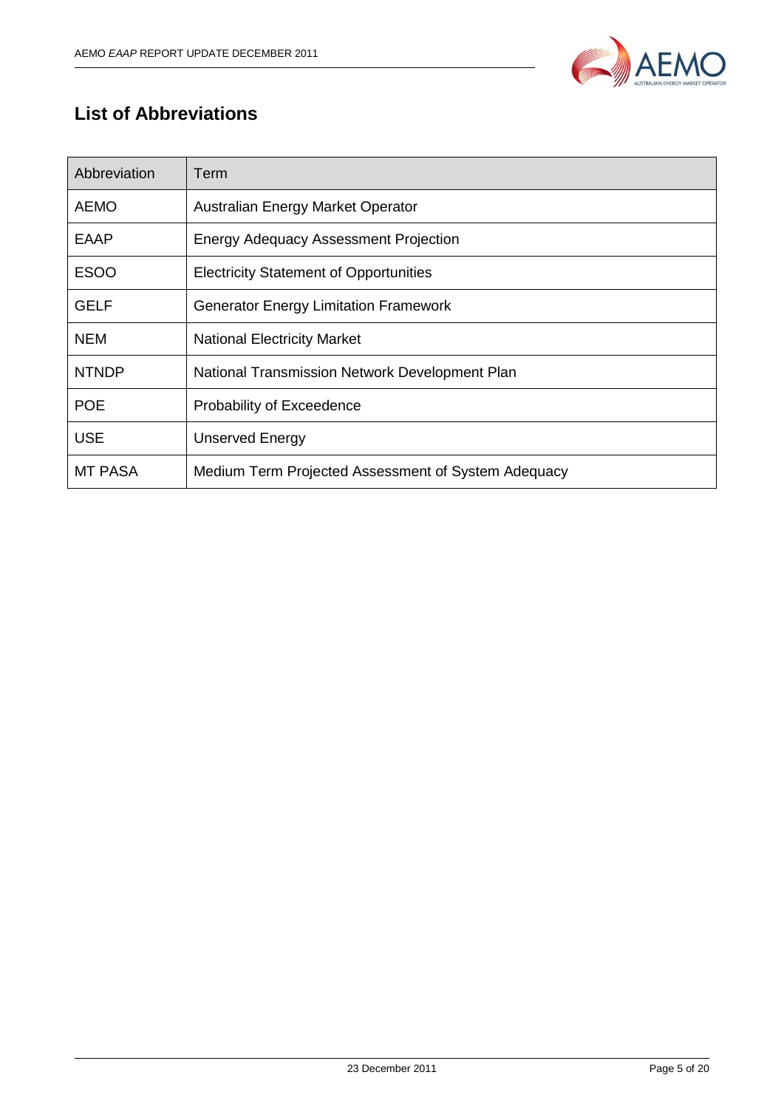

# <span id="page-4-0"></span>**List of Abbreviations**

| Abbreviation | Term                                                |
|--------------|-----------------------------------------------------|
| <b>AEMO</b>  | Australian Energy Market Operator                   |
| <b>EAAP</b>  | <b>Energy Adequacy Assessment Projection</b>        |
| <b>ESOO</b>  | <b>Electricity Statement of Opportunities</b>       |
| <b>GELF</b>  | <b>Generator Energy Limitation Framework</b>        |
| <b>NEM</b>   | <b>National Electricity Market</b>                  |
| <b>NTNDP</b> | National Transmission Network Development Plan      |
| <b>POE</b>   | Probability of Exceedence                           |
| <b>USE</b>   | <b>Unserved Energy</b>                              |
| MT PASA      | Medium Term Projected Assessment of System Adequacy |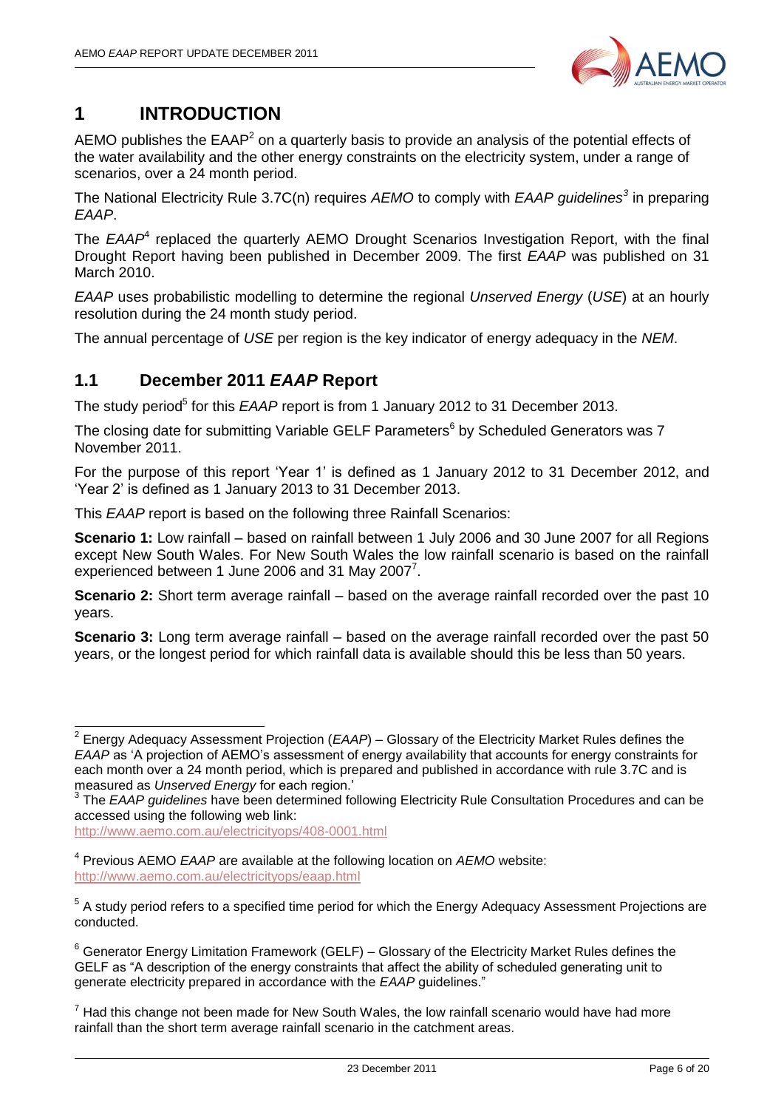

# <span id="page-5-0"></span>**1 INTRODUCTION**

AEMO publishes the  $EAAP<sup>2</sup>$  on a quarterly basis to provide an analysis of the potential effects of the water availability and the other energy constraints on the electricity system, under a range of scenarios, over a 24 month period.

The National Electricity Rule 3.7C(n) requires *AEMO* to comply with *EAAP guidelines<sup>3</sup>* in preparing *EAAP*.

The *EAAP*<sup>4</sup> replaced the quarterly AEMO Drought Scenarios Investigation Report, with the final Drought Report having been published in December 2009. The first *EAAP* was published on 31 March 2010.

*EAAP* uses probabilistic modelling to determine the regional *Unserved Energy* (*USE*) at an hourly resolution during the 24 month study period.

The annual percentage of *USE* per region is the key indicator of energy adequacy in the *NEM*.

# <span id="page-5-1"></span>**1.1 December 2011** *EAAP* **Report**

The study period<sup>5</sup> for this *EAAP* report is from 1 January 2012 to 31 December 2013.

The closing date for submitting Variable GELF Parameters<sup>6</sup> by Scheduled Generators was 7 November 2011.

For the purpose of this report "Year 1" is defined as 1 January 2012 to 31 December 2012, and "Year 2" is defined as 1 January 2013 to 31 December 2013.

This *EAAP* report is based on the following three Rainfall Scenarios:

**Scenario 1:** Low rainfall – based on rainfall between 1 July 2006 and 30 June 2007 for all Regions except New South Wales. For New South Wales the low rainfall scenario is based on the rainfall experienced between 1 June 2006 and 31 May 2007 $^7$ .

**Scenario 2:** Short term average rainfall – based on the average rainfall recorded over the past 10 years.

**Scenario 3:** Long term average rainfall – based on the average rainfall recorded over the past 50 years, or the longest period for which rainfall data is available should this be less than 50 years.

<http://www.aemo.com.au/electricityops/408-0001.html>

 $\overline{\phantom{a}}$ 

<sup>2</sup> Energy Adequacy Assessment Projection (*EAAP*) – Glossary of the Electricity Market Rules defines the *EAAP* as "A projection of AEMO"s assessment of energy availability that accounts for energy constraints for each month over a 24 month period, which is prepared and published in accordance with rule 3.7C and is measured as *Unserved Energy* for each region."

<sup>&</sup>lt;sup>3</sup> The *EAAP guidelines* have been determined following Electricity Rule Consultation Procedures and can be accessed using the following web link:

<sup>4</sup> Previous AEMO *EAAP* are available at the following location on *AEMO* website: <http://www.aemo.com.au/electricityops/eaap.html>

<sup>&</sup>lt;sup>5</sup> A study period refers to a specified time period for which the Energy Adequacy Assessment Projections are conducted.

 $6$  Generator Energy Limitation Framework (GELF) – Glossary of the Electricity Market Rules defines the GELF as "A description of the energy constraints that affect the ability of scheduled generating unit to generate electricity prepared in accordance with the *EAAP* guidelines."

 $<sup>7</sup>$  Had this change not been made for New South Wales, the low rainfall scenario would have had more</sup> rainfall than the short term average rainfall scenario in the catchment areas.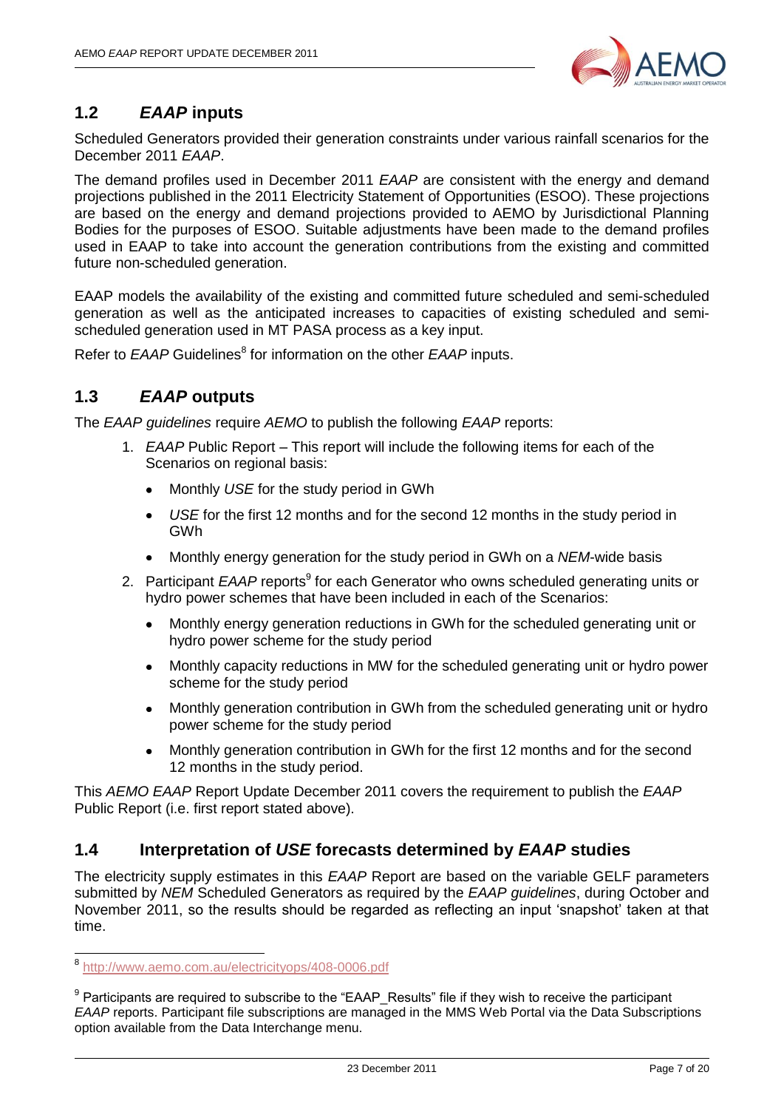

# <span id="page-6-0"></span>**1.2** *EAAP* **inputs**

Scheduled Generators provided their generation constraints under various rainfall scenarios for the December 2011 *EAAP*.

The demand profiles used in December 2011 *EAAP* are consistent with the energy and demand projections published in the 2011 Electricity Statement of Opportunities (ESOO). These projections are based on the energy and demand projections provided to AEMO by Jurisdictional Planning Bodies for the purposes of ESOO. Suitable adjustments have been made to the demand profiles used in EAAP to take into account the generation contributions from the existing and committed future non-scheduled generation.

EAAP models the availability of the existing and committed future scheduled and semi-scheduled generation as well as the anticipated increases to capacities of existing scheduled and semischeduled generation used in MT PASA process as a key input.

Refer to *EAAP* Guidelines<sup>8</sup> for information on the other *EAAP* inputs.

# <span id="page-6-1"></span>**1.3** *EAAP* **outputs**

The *EAAP guidelines* require *AEMO* to publish the following *EAAP* reports:

- 1. *EAAP* Public Report This report will include the following items for each of the Scenarios on regional basis:
	- Monthly *USE* for the study period in GWh
	- *USE* for the first 12 months and for the second 12 months in the study period in  $\bullet$ GWh
	- Monthly energy generation for the study period in GWh on a *NEM*-wide basis  $\bullet$
- 2. Participant *EAAP* reports<sup>9</sup> for each Generator who owns scheduled generating units or hydro power schemes that have been included in each of the Scenarios:
	- Monthly energy generation reductions in GWh for the scheduled generating unit or hydro power scheme for the study period
	- Monthly capacity reductions in MW for the scheduled generating unit or hydro power scheme for the study period
	- Monthly generation contribution in GWh from the scheduled generating unit or hydro  $\bullet$ power scheme for the study period
	- Monthly generation contribution in GWh for the first 12 months and for the second 12 months in the study period.

This *AEMO EAAP* Report Update December 2011 covers the requirement to publish the *EAAP* Public Report (i.e. first report stated above).

### <span id="page-6-2"></span>**1.4 Interpretation of** *USE* **forecasts determined by** *EAAP* **studies**

The electricity supply estimates in this *EAAP* Report are based on the variable GELF parameters submitted by *NEM* Scheduled Generators as required by the *EAAP guidelines*, during October and November 2011, so the results should be regarded as reflecting an input "snapshot" taken at that time.

<sup>&</sup>lt;sup>8</sup> <http://www.aemo.com.au/electricityops/408-0006.pdf>

 $9$  Participants are required to subscribe to the "EAAP\_Results" file if they wish to receive the participant *EAAP* reports. Participant file subscriptions are managed in the MMS Web Portal via the Data Subscriptions option available from the Data Interchange menu.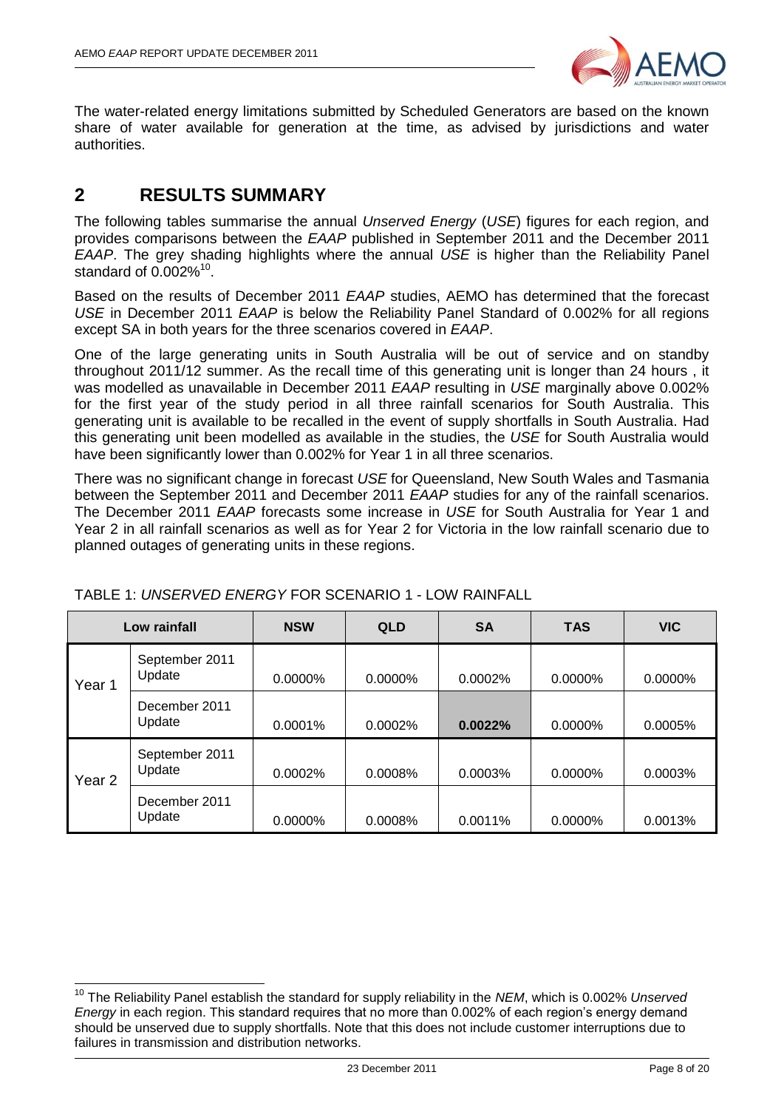

The water-related energy limitations submitted by Scheduled Generators are based on the known share of water available for generation at the time, as advised by jurisdictions and water authorities.

# <span id="page-7-0"></span>**2 RESULTS SUMMARY**

-

The following tables summarise the annual *Unserved Energy* (*USE*) figures for each region, and provides comparisons between the *EAAP* published in September 2011 and the December 2011 *EAAP*. The grey shading highlights where the annual *USE* is higher than the Reliability Panel standard of  $0.002\%$ <sup>10</sup>.

Based on the results of December 2011 *EAAP* studies, AEMO has determined that the forecast *USE* in December 2011 *EAAP* is below the Reliability Panel Standard of 0.002% for all regions except SA in both years for the three scenarios covered in *EAAP*.

One of the large generating units in South Australia will be out of service and on standby throughout 2011/12 summer. As the recall time of this generating unit is longer than 24 hours , it was modelled as unavailable in December 2011 *EAAP* resulting in *USE* marginally above 0.002% for the first year of the study period in all three rainfall scenarios for South Australia. This generating unit is available to be recalled in the event of supply shortfalls in South Australia. Had this generating unit been modelled as available in the studies, the *USE* for South Australia would have been significantly lower than 0.002% for Year 1 in all three scenarios.

There was no significant change in forecast *USE* for Queensland, New South Wales and Tasmania between the September 2011 and December 2011 *EAAP* studies for any of the rainfall scenarios. The December 2011 *EAAP* forecasts some increase in *USE* for South Australia for Year 1 and Year 2 in all rainfall scenarios as well as for Year 2 for Victoria in the low rainfall scenario due to planned outages of generating units in these regions.

|                   | Low rainfall             | <b>NSW</b> | <b>QLD</b> | <b>SA</b> | <b>TAS</b> | <b>VIC</b> |
|-------------------|--------------------------|------------|------------|-----------|------------|------------|
| Year 1            | September 2011<br>Update | 0.0000%    | 0.0000%    | 0.0002%   | 0.0000%    | 0.0000%    |
|                   | December 2011<br>Update  | 0.0001%    | 0.0002%    | 0.0022%   | $0.0000\%$ | 0.0005%    |
| Year <sub>2</sub> | September 2011<br>Update | 0.0002%    | 0.0008%    | 0.0003%   | $0.0000\%$ | 0.0003%    |
|                   | December 2011<br>Update  | 0.0000%    | 0.0008%    | 0.0011%   | 0.0000%    | 0.0013%    |

#### TABLE 1: *UNSERVED ENERGY* FOR SCENARIO 1 - LOW RAINFALL

<sup>10</sup> The Reliability Panel establish the standard for supply reliability in the *NEM*, which is 0.002% *Unserved Energy* in each region. This standard requires that no more than 0.002% of each region's energy demand should be unserved due to supply shortfalls. Note that this does not include customer interruptions due to failures in transmission and distribution networks.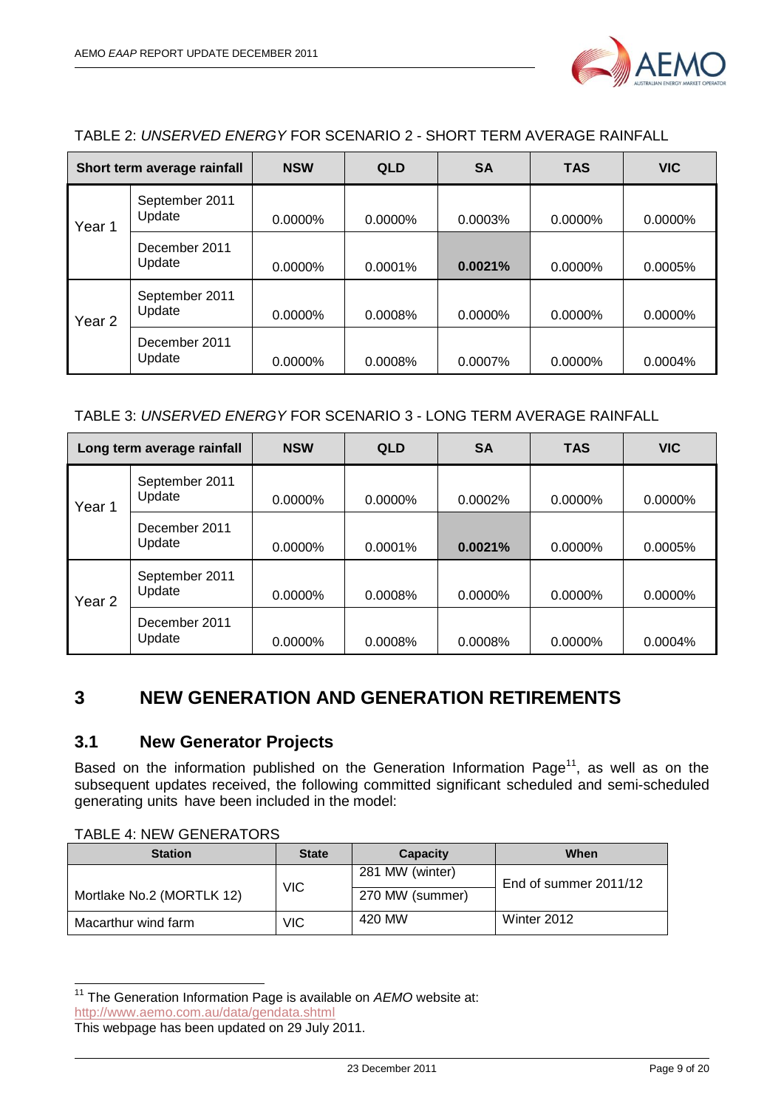

#### TABLE 2: *UNSERVED ENERGY* FOR SCENARIO 2 - SHORT TERM AVERAGE RAINFALL

|                   | Short term average rainfall | <b>NSW</b> | <b>QLD</b> | <b>SA</b>  | <b>TAS</b> | <b>VIC</b> |
|-------------------|-----------------------------|------------|------------|------------|------------|------------|
| Year 1            | September 2011<br>Update    | $0.0000\%$ | $0.0000\%$ | 0.0003%    | $0.0000\%$ | $0.0000\%$ |
|                   | December 2011<br>Update     | $0.0000\%$ | $0.0001\%$ | 0.0021%    | $0.0000\%$ | 0.0005%    |
| Year <sub>2</sub> | September 2011<br>Update    | $0.0000\%$ | $0.0008\%$ | $0.0000\%$ | $0.0000\%$ | $0.0000\%$ |
|                   | December 2011<br>Update     | $0.0000\%$ | 0.0008%    | 0.0007%    | $0.0000\%$ | 0.0004%    |

#### TABLE 3: *UNSERVED ENERGY* FOR SCENARIO 3 - LONG TERM AVERAGE RAINFALL

|                   | Long term average rainfall | <b>NSW</b> | <b>QLD</b> | <b>SA</b> | <b>TAS</b> | <b>VIC</b> |
|-------------------|----------------------------|------------|------------|-----------|------------|------------|
| Year 1            | September 2011<br>Update   | $0.0000\%$ | $0.0000\%$ | 0.0002%   | $0.0000\%$ | $0.0000\%$ |
|                   | December 2011<br>Update    | $0.0000\%$ | $0.0001\%$ | 0.0021%   | $0.0000\%$ | 0.0005%    |
| Year <sub>2</sub> | September 2011<br>Update   | $0.0000\%$ | 0.0008%    | 0.0000%   | 0.0000%    | 0.0000%    |
|                   | December 2011<br>Update    | $0.0000\%$ | 0.0008%    | 0.0008%   | $0.0000\%$ | 0.0004%    |

# <span id="page-8-0"></span>**3 NEW GENERATION AND GENERATION RETIREMENTS**

#### <span id="page-8-1"></span>**3.1 New Generator Projects**

Based on the information published on the Generation Information Page<sup>11</sup>, as well as on the subsequent updates received, the following committed significant scheduled and semi-scheduled generating units have been included in the model:

TABLE 4: NEW GENERATORS

-

| <b>Station</b>            | <b>State</b> | Capacity        | When                  |
|---------------------------|--------------|-----------------|-----------------------|
|                           |              | 281 MW (winter) | End of summer 2011/12 |
| Mortlake No.2 (MORTLK 12) | <b>VIC</b>   | 270 MW (summer) |                       |
| Macarthur wind farm       | <b>VIC</b>   | 420 MW          | Winter 2012           |

<sup>&</sup>lt;sup>11</sup> The Generation Information Page is available on AEMO website at: <http://www.aemo.com.au/data/gendata.shtml>

This webpage has been updated on 29 July 2011.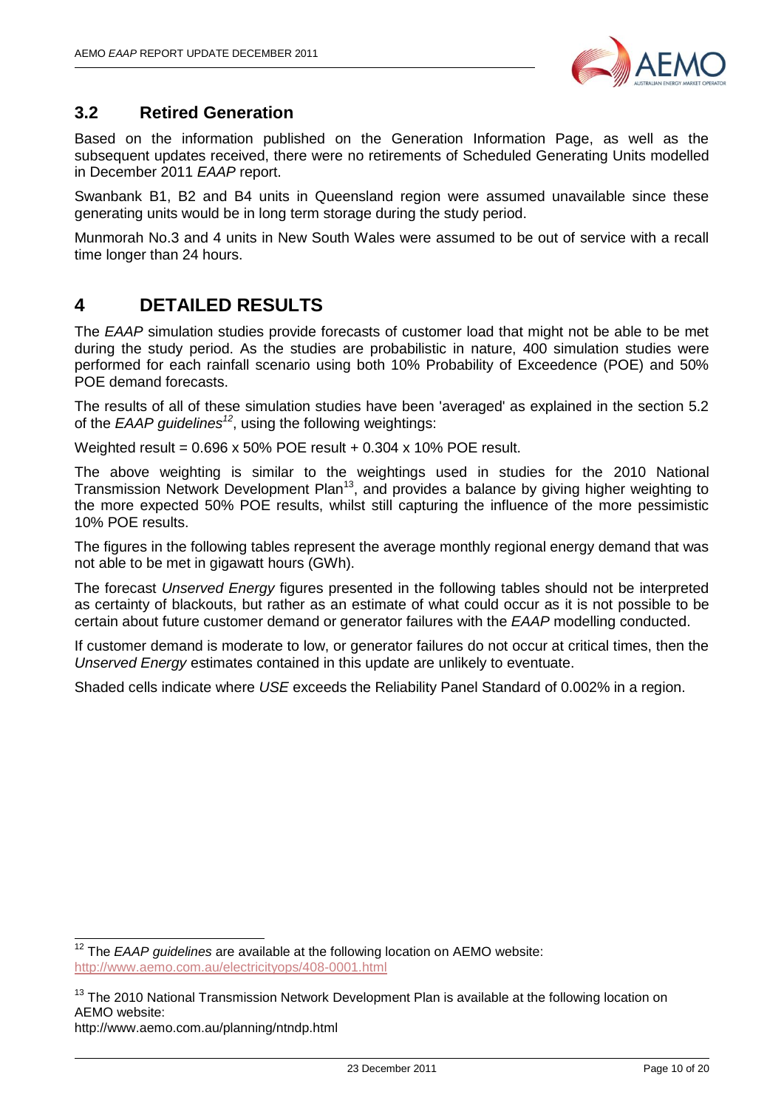

### <span id="page-9-0"></span>**3.2 Retired Generation**

Based on the information published on the Generation Information Page, as well as the subsequent updates received, there were no retirements of Scheduled Generating Units modelled in December 2011 *EAAP* report.

Swanbank B1, B2 and B4 units in Queensland region were assumed unavailable since these generating units would be in long term storage during the study period.

Munmorah No.3 and 4 units in New South Wales were assumed to be out of service with a recall time longer than 24 hours.

# <span id="page-9-1"></span>**4 DETAILED RESULTS**

The *EAAP* simulation studies provide forecasts of customer load that might not be able to be met during the study period. As the studies are probabilistic in nature, 400 simulation studies were performed for each rainfall scenario using both 10% Probability of Exceedence (POE) and 50% POE demand forecasts.

The results of all of these simulation studies have been 'averaged' as explained in the section 5.2 of the *EAAP guidelines<sup>12</sup>*, using the following weightings:

Weighted result =  $0.696 \times 50\%$  POE result +  $0.304 \times 10\%$  POE result.

The above weighting is similar to the weightings used in studies for the 2010 National Transmission Network Development Plan<sup>13</sup>, and provides a balance by giving higher weighting to the more expected 50% POE results, whilst still capturing the influence of the more pessimistic 10% POE results.

The figures in the following tables represent the average monthly regional energy demand that was not able to be met in gigawatt hours (GWh).

The forecast *Unserved Energy* figures presented in the following tables should not be interpreted as certainty of blackouts, but rather as an estimate of what could occur as it is not possible to be certain about future customer demand or generator failures with the *EAAP* modelling conducted.

If customer demand is moderate to low, or generator failures do not occur at critical times, then the *Unserved Energy* estimates contained in this update are unlikely to eventuate.

Shaded cells indicate where *USE* exceeds the Reliability Panel Standard of 0.002% in a region.

-

<sup>12</sup> The *EAAP guidelines* are available at the following location on AEMO website: <http://www.aemo.com.au/electricityops/408-0001.html>

<sup>&</sup>lt;sup>13</sup> The 2010 National Transmission Network Development Plan is available at the following location on AEMO website:

http://www.aemo.com.au/planning/ntndp.html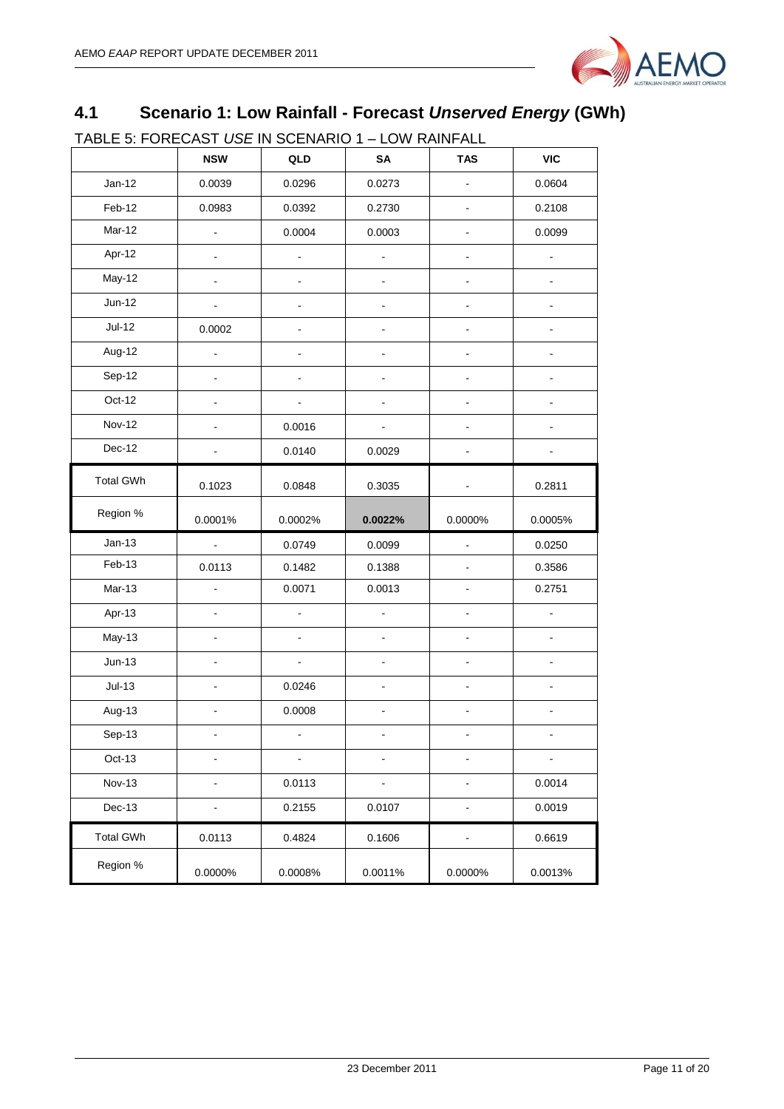

# <span id="page-10-0"></span>**4.1 Scenario 1: Low Rainfall - Forecast** *Unserved Energy* **(GWh)**

TABLE 5: FORECAST *USE* IN SCENARIO 1 – LOW RAINFALL

|                  | <b>NSW</b>                   | QLD            | SA                       | <b>TAS</b>                   | <b>VIC</b>     |
|------------------|------------------------------|----------------|--------------------------|------------------------------|----------------|
| $Jan-12$         | 0.0039                       | 0.0296         | 0.0273                   |                              | 0.0604         |
| Feb-12           | 0.0983                       | 0.0392         | 0.2730                   | ä,                           | 0.2108         |
| Mar-12           | ä,                           | 0.0004         | 0.0003                   |                              | 0.0099         |
| Apr-12           | $\blacksquare$               | $\blacksquare$ | $\blacksquare$           | $\overline{\phantom{0}}$     | $\blacksquare$ |
| May-12           |                              |                |                          |                              |                |
| $Jun-12$         |                              | $\overline{a}$ |                          | -                            | $\blacksquare$ |
| <b>Jul-12</b>    | 0.0002                       |                |                          |                              |                |
| Aug-12           | ä,                           |                |                          |                              |                |
| Sep-12           | $\overline{a}$               |                |                          |                              |                |
| Oct-12           | ÷.                           | ä,             |                          | $\overline{a}$               |                |
| <b>Nov-12</b>    |                              | 0.0016         |                          |                              |                |
| Dec-12           |                              | 0.0140         | 0.0029                   |                              |                |
| <b>Total GWh</b> | 0.1023                       | 0.0848         | 0.3035                   |                              | 0.2811         |
| Region %         | 0.0001%                      | 0.0002%        | 0.0022%                  | 0.0000%                      | 0.0005%        |
| $Jan-13$         | $\blacksquare$               | 0.0749         | 0.0099                   | $\overline{\phantom{a}}$     | 0.0250         |
| Feb-13           | 0.0113                       | 0.1482         | 0.1388                   |                              | 0.3586         |
| Mar-13           | $\overline{\phantom{a}}$     | 0.0071         | 0.0013                   | $\blacksquare$               | 0.2751         |
| Apr-13           | $\blacksquare$               | $\blacksquare$ | $\blacksquare$           | $\qquad \qquad \blacksquare$ | $\blacksquare$ |
| May-13           | $\blacksquare$               | $\blacksquare$ | $\blacksquare$           | $\blacksquare$               | $\blacksquare$ |
| $Jun-13$         | $\blacksquare$               | $\blacksquare$ |                          |                              |                |
| $Jul-13$         | L.                           | 0.0246         | ä,                       | ÷,                           |                |
| Aug-13           | $\blacksquare$               | 0.0008         | $\overline{\phantom{a}}$ | ÷,                           | $\blacksquare$ |
| Sep-13           |                              |                |                          |                              |                |
| Oct-13           |                              |                |                          |                              |                |
| <b>Nov-13</b>    | $\blacksquare$               | 0.0113         | $\Box$                   | $\overline{a}$               | 0.0014         |
| Dec-13           | $\qquad \qquad \blacksquare$ | 0.2155         | 0.0107                   |                              | 0.0019         |
| <b>Total GWh</b> | 0.0113                       | 0.4824         | 0.1606                   |                              | 0.6619         |
| Region %         | 0.0000%                      | 0.0008%        | 0.0011%                  | 0.0000%                      | 0.0013%        |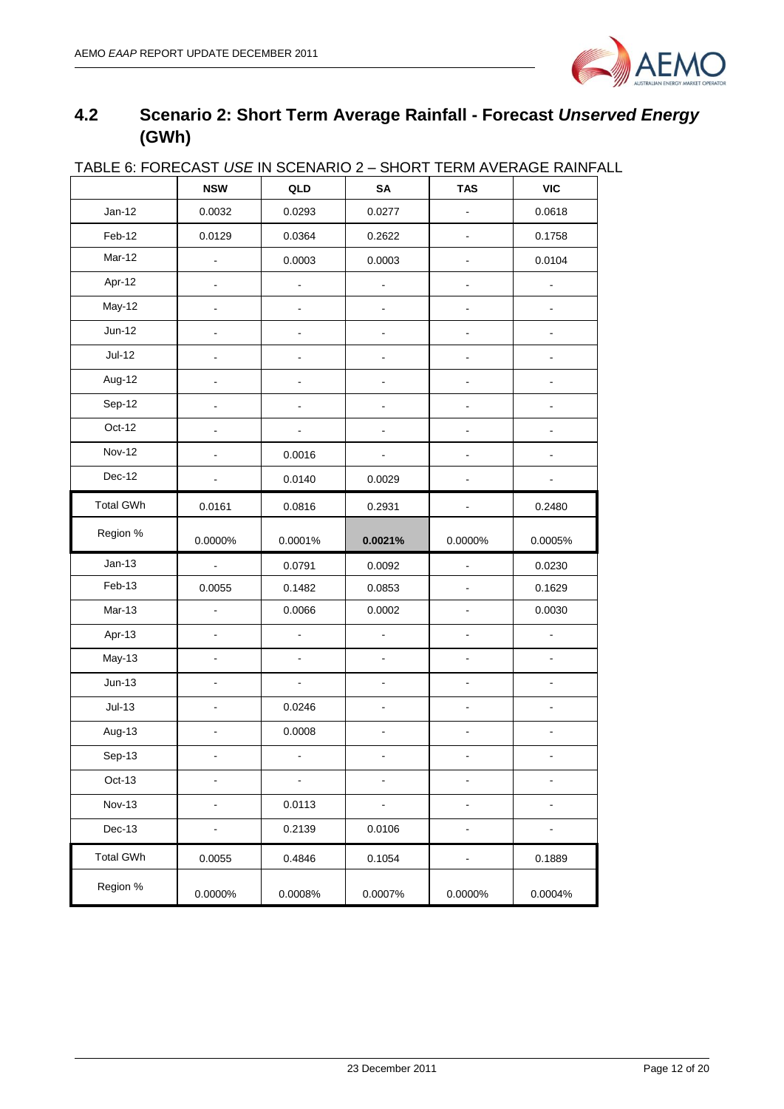

# <span id="page-11-0"></span>**4.2 Scenario 2: Short Term Average Rainfall - Forecast** *Unserved Energy* **(GWh)**

|                  | <b>NSW</b>               | QLD                      | SA                       | <b>TAS</b>     | <b>VIC</b>     |
|------------------|--------------------------|--------------------------|--------------------------|----------------|----------------|
| $Jan-12$         | 0.0032                   | 0.0293                   | 0.0277                   | ÷.             | 0.0618         |
| Feb-12           | 0.0129                   | 0.0364                   | 0.2622                   | ÷,             | 0.1758         |
| Mar-12           | $\overline{\phantom{a}}$ | 0.0003                   | 0.0003                   |                | 0.0104         |
| Apr-12           | $\blacksquare$           | ÷,                       | $\overline{\phantom{a}}$ |                | ÷,             |
| May-12           |                          |                          |                          |                |                |
| $Jun-12$         | $\overline{\phantom{0}}$ | -                        | -                        | $\frac{1}{2}$  | -              |
| <b>Jul-12</b>    |                          |                          |                          |                |                |
| Aug-12           | $\overline{a}$           | -                        | $\overline{a}$           | $\overline{a}$ | $\overline{a}$ |
| Sep-12           |                          | ä,                       | ä,                       |                | $\overline{a}$ |
| Oct-12           |                          |                          |                          |                |                |
| <b>Nov-12</b>    |                          | 0.0016                   |                          |                |                |
| Dec-12           |                          | 0.0140                   | 0.0029                   |                |                |
| <b>Total GWh</b> | 0.0161                   | 0.0816                   | 0.2931                   |                | 0.2480         |
| Region %         | 0.0000%                  | 0.0001%                  | 0.0021%                  | 0.0000%        | 0.0005%        |
| $Jan-13$         | $\blacksquare$           | 0.0791                   | 0.0092                   |                | 0.0230         |
| Feb-13           | 0.0055                   | 0.1482                   | 0.0853                   |                | 0.1629         |
| $Mar-13$         | $\blacksquare$           | 0.0066                   | 0.0002                   |                | 0.0030         |
| Apr-13           | $\overline{a}$           | $\overline{\phantom{a}}$ | $\overline{\phantom{a}}$ | ä,             | ÷,             |
| May-13           | $\blacksquare$           | ä,                       | ÷,                       | ÷              | $\blacksquare$ |
| $Jun-13$         |                          | ÷,                       | ÷,                       |                |                |
| $Jul-13$         | $\overline{a}$           | 0.0246                   | $\overline{a}$           |                |                |
| Aug-13           |                          | 0.0008                   |                          |                |                |
| Sep-13           | $\overline{a}$           | $\blacksquare$           | ۰                        | $\blacksquare$ |                |
| Oct-13           |                          | ä,                       |                          |                |                |
| <b>Nov-13</b>    |                          | 0.0113                   |                          |                |                |
| Dec-13           | $\overline{\phantom{a}}$ | 0.2139                   | 0.0106                   | $\blacksquare$ |                |
| <b>Total GWh</b> | 0.0055                   | 0.4846                   | 0.1054                   |                | 0.1889         |
| Region %         | 0.0000%                  | 0.0008%                  | 0.0007%                  | 0.0000%        | 0.0004%        |

#### TABLE 6: FORECAST *USE* IN SCENARIO 2 – SHORT TERM AVERAGE RAINFALL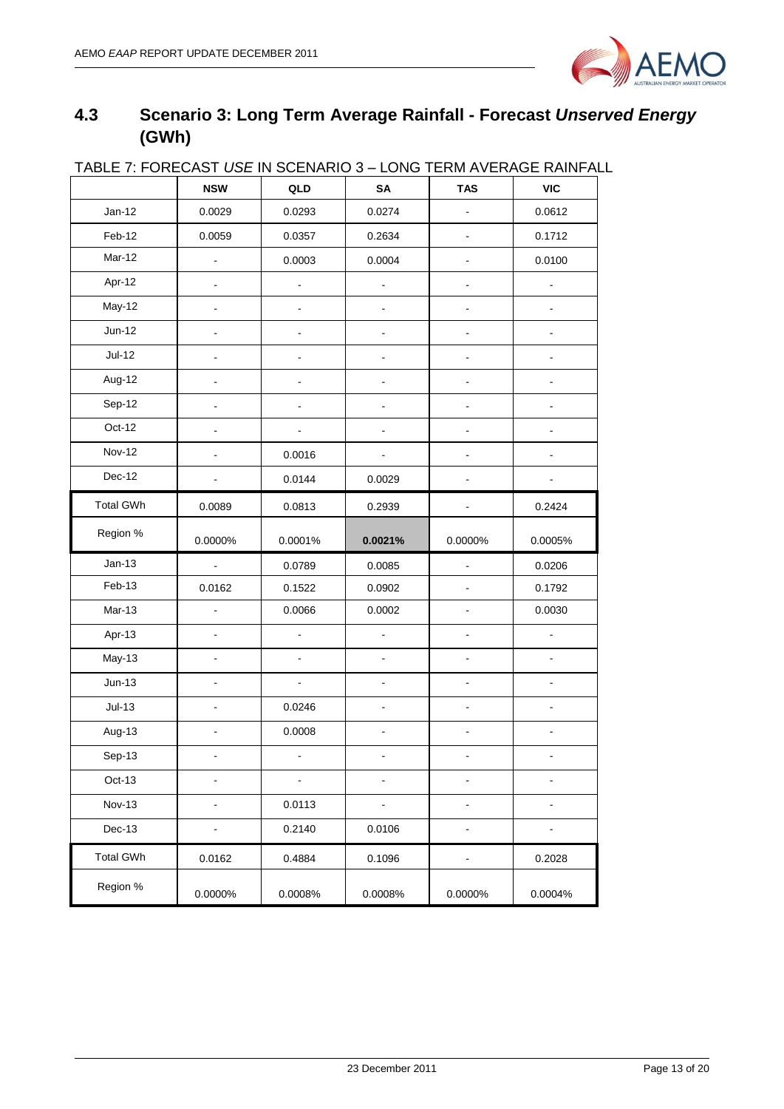

# <span id="page-12-0"></span>**4.3 Scenario 3: Long Term Average Rainfall - Forecast** *Unserved Energy* **(GWh)**

| <u>IABLE I. FUNEUAST USE IN SULNANIU 3 – LUNG TENNI AVENAGE NAINFAL</u> | <b>NSW</b>          | QLD                      | SA                           | <b>TAS</b>     | <b>VIC</b>     |
|-------------------------------------------------------------------------|---------------------|--------------------------|------------------------------|----------------|----------------|
| $Jan-12$                                                                | 0.0029              | 0.0293                   | 0.0274                       |                | 0.0612         |
| Feb-12                                                                  | 0.0059              | 0.0357                   | 0.2634                       | $\sim$         | 0.1712         |
| Mar-12                                                                  | $\blacksquare$      | 0.0003                   | 0.0004                       |                | 0.0100         |
| Apr-12                                                                  | $\blacksquare$      | $\overline{\phantom{a}}$ | ä,                           | $\blacksquare$ |                |
| May-12                                                                  | $\blacksquare$      | $\blacksquare$           | $\qquad \qquad \blacksquare$ |                |                |
| Jun-12                                                                  |                     |                          |                              |                |                |
| $Jul-12$                                                                |                     |                          |                              |                |                |
| Aug-12                                                                  |                     |                          |                              |                |                |
| Sep-12                                                                  |                     |                          |                              |                |                |
| Oct-12                                                                  |                     |                          |                              |                |                |
| Nov-12                                                                  |                     | 0.0016                   |                              |                |                |
| Dec-12                                                                  |                     | 0.0144                   | 0.0029                       |                |                |
| <b>Total GWh</b>                                                        | 0.0089              | 0.0813                   | 0.2939                       |                | 0.2424         |
| Region %                                                                | 0.0000%             | 0.0001%                  | 0.0021%                      | 0.0000%        | 0.0005%        |
| $Jan-13$                                                                | ÷.                  | 0.0789                   | 0.0085                       | ÷,             | 0.0206         |
| Feb-13                                                                  | 0.0162              | 0.1522                   | 0.0902                       |                | 0.1792         |
| Mar-13                                                                  | $\bar{\phantom{a}}$ | 0.0066                   | 0.0002                       |                | 0.0030         |
| Apr-13                                                                  |                     |                          |                              |                |                |
| May-13                                                                  | $\blacksquare$      | $\blacksquare$           | $\blacksquare$               | $\blacksquare$ | $\mathbf{r}$   |
| $Jun-13$                                                                |                     | $\blacksquare$           | $\qquad \qquad \blacksquare$ | Ξ.             |                |
| $Jul-13$                                                                |                     | 0.0246                   |                              |                |                |
| Aug-13                                                                  |                     | 0.0008                   |                              |                |                |
| Sep-13                                                                  | $\blacksquare$      | $\blacksquare$           | $\blacksquare$               |                |                |
| Oct-13                                                                  |                     |                          |                              |                |                |
| <b>Nov-13</b>                                                           | $\blacksquare$      | 0.0113                   | $\blacksquare$               | ٠              | $\blacksquare$ |
| Dec-13                                                                  | $\blacksquare$      | 0.2140                   | 0.0106                       | ٠              |                |
| <b>Total GWh</b>                                                        | 0.0162              | 0.4884                   | 0.1096                       |                | 0.2028         |
| Region %                                                                | 0.0000%             | 0.0008%                  | 0.0008%                      | 0.0000%        | 0.0004%        |

# TABLE 7: FORECAST *USE* IN SCENARIO 3 – LONG TERM AVERAGE RAINFALL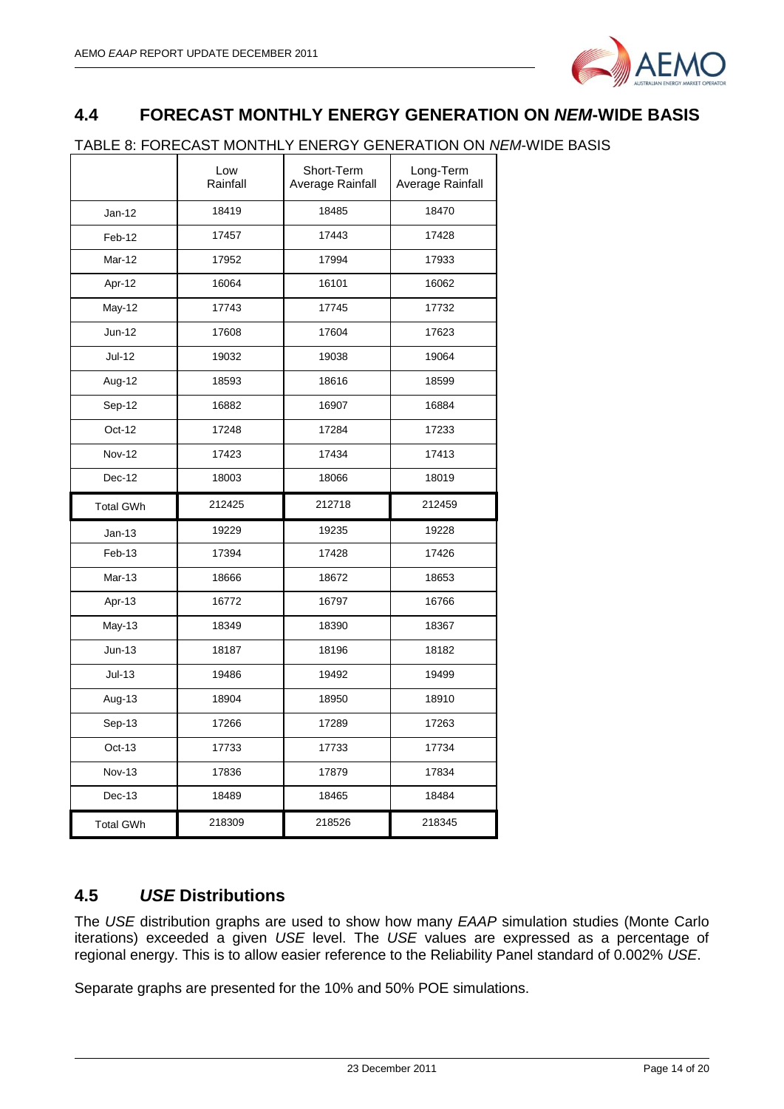

# <span id="page-13-0"></span>**4.4 FORECAST MONTHLY ENERGY GENERATION ON** *NEM***-WIDE BASIS**

#### TABLE 8: FORECAST MONTHLY ENERGY GENERATION ON *NEM*-WIDE BASIS

|                  | Low<br>Rainfall | Short-Term<br>Average Rainfall | Long-Term<br>Average Rainfall |
|------------------|-----------------|--------------------------------|-------------------------------|
| Jan-12           | 18419           | 18485                          | 18470                         |
| Feb-12           | 17457           | 17443                          | 17428                         |
| Mar-12           | 17952           | 17994                          | 17933                         |
| Apr-12           | 16064           | 16101                          | 16062                         |
| May-12           | 17743           | 17745                          | 17732                         |
| Jun-12           | 17608           | 17604                          | 17623                         |
| Jul-12           | 19032           | 19038                          | 19064                         |
| Aug-12           | 18593           | 18616                          | 18599                         |
| Sep-12           | 16882           | 16907                          | 16884                         |
| Oct-12           | 17248           | 17284                          | 17233                         |
| <b>Nov-12</b>    | 17423           | 17434                          | 17413                         |
| Dec-12           | 18003           | 18066                          | 18019                         |
| <b>Total GWh</b> | 212425          | 212718                         | 212459                        |
| $Jan-13$         | 19229           | 19235                          | 19228                         |
| Feb-13           | 17394           | 17428                          | 17426                         |
| Mar-13           | 18666           | 18672                          | 18653                         |
| Apr-13           | 16772           | 16797                          | 16766                         |
| May-13           | 18349           | 18390                          | 18367                         |
| $Jun-13$         | 18187           | 18196                          | 18182                         |
| $Jul-13$         | 19486           | 19492                          | 19499                         |
| Aug-13           | 18904           | 18950                          | 18910                         |
| Sep-13           | 17266           | 17289                          | 17263                         |
| Oct-13           | 17733           | 17733                          | 17734                         |
| <b>Nov-13</b>    | 17836           | 17879                          | 17834                         |
| Dec-13           | 18489           | 18465                          | 18484                         |
|                  |                 |                                |                               |

# <span id="page-13-1"></span>**4.5** *USE* **Distributions**

The *USE* distribution graphs are used to show how many *EAAP* simulation studies (Monte Carlo iterations) exceeded a given *USE* level. The *USE* values are expressed as a percentage of regional energy. This is to allow easier reference to the Reliability Panel standard of 0.002% *USE*.

Separate graphs are presented for the 10% and 50% POE simulations.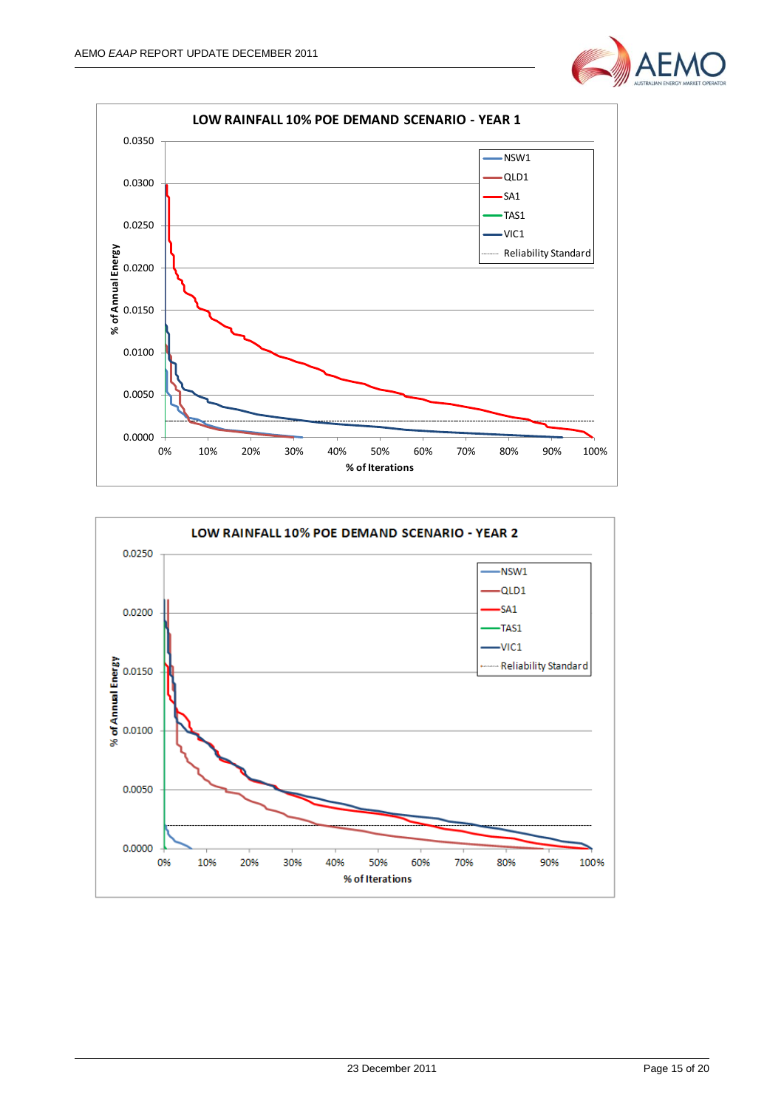



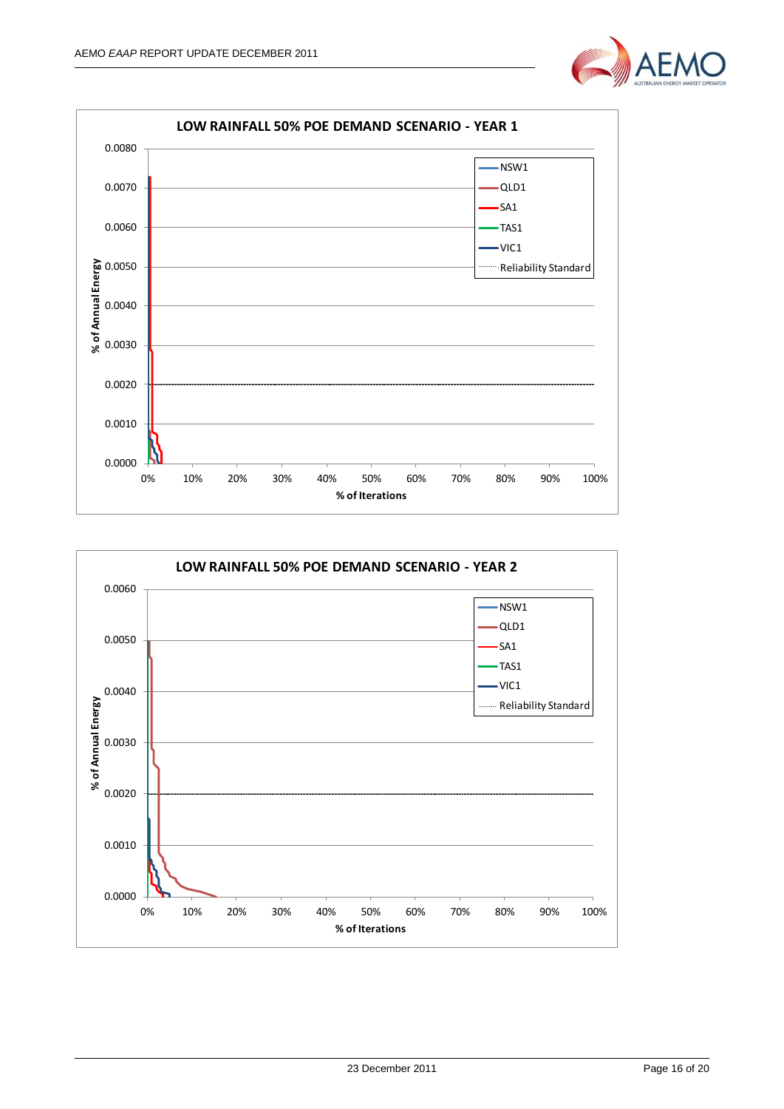



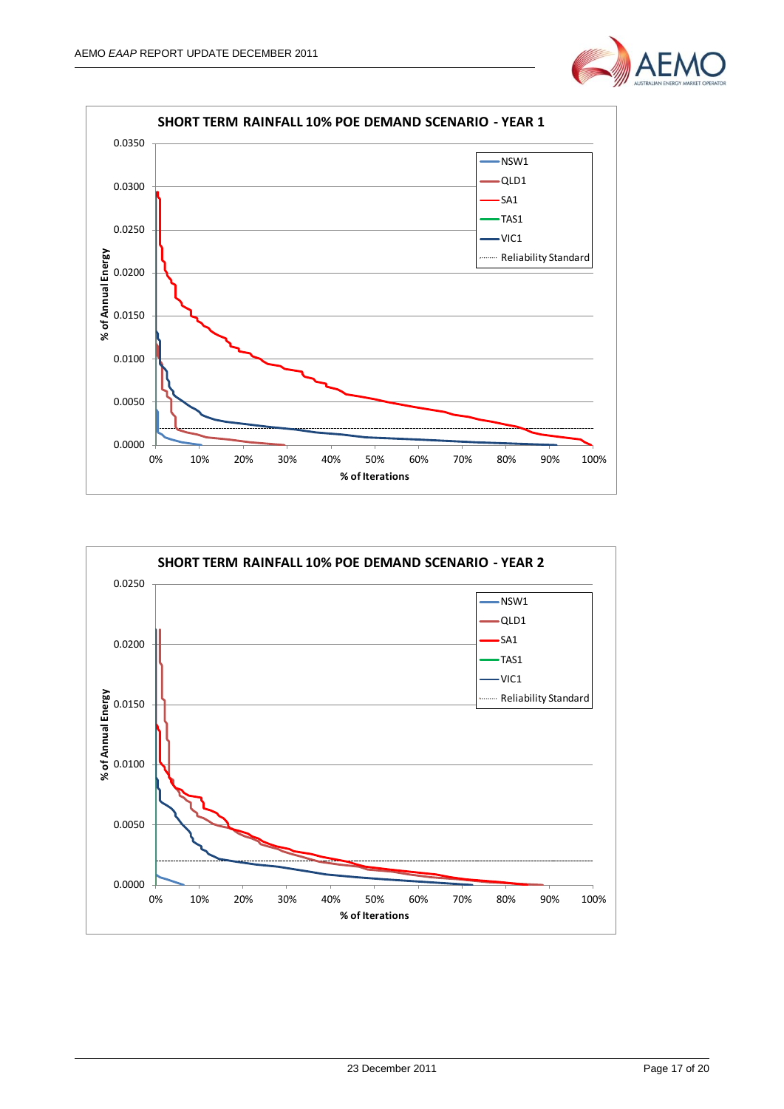



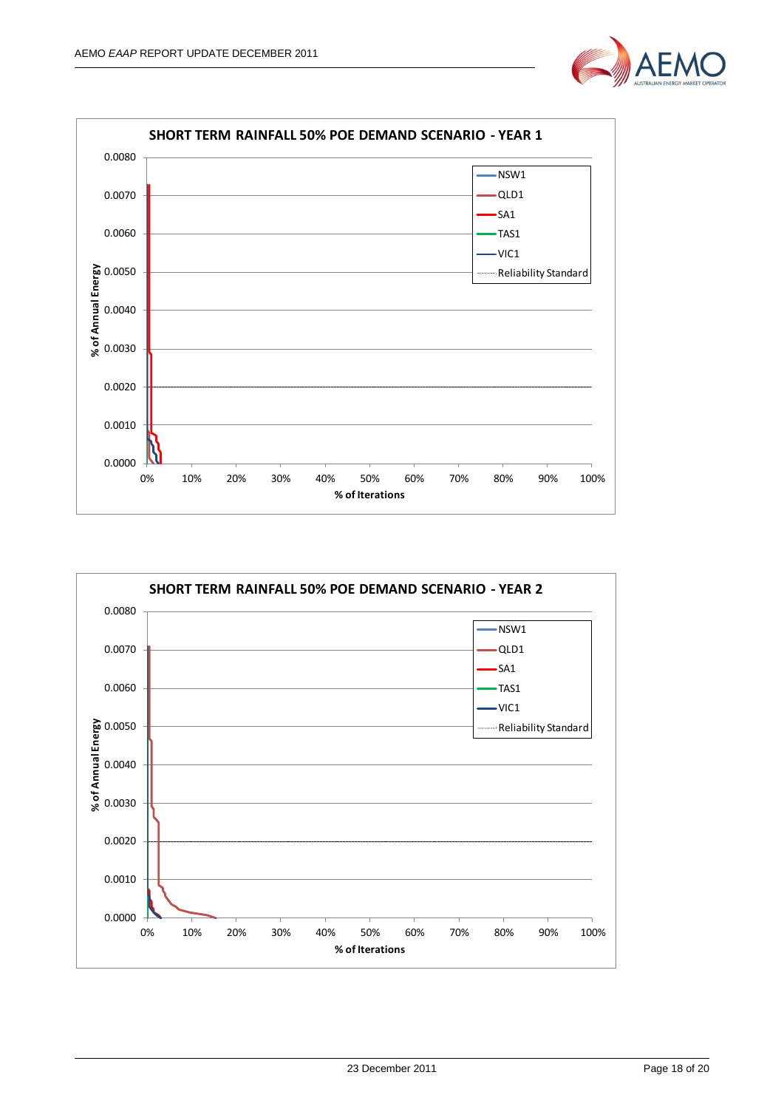



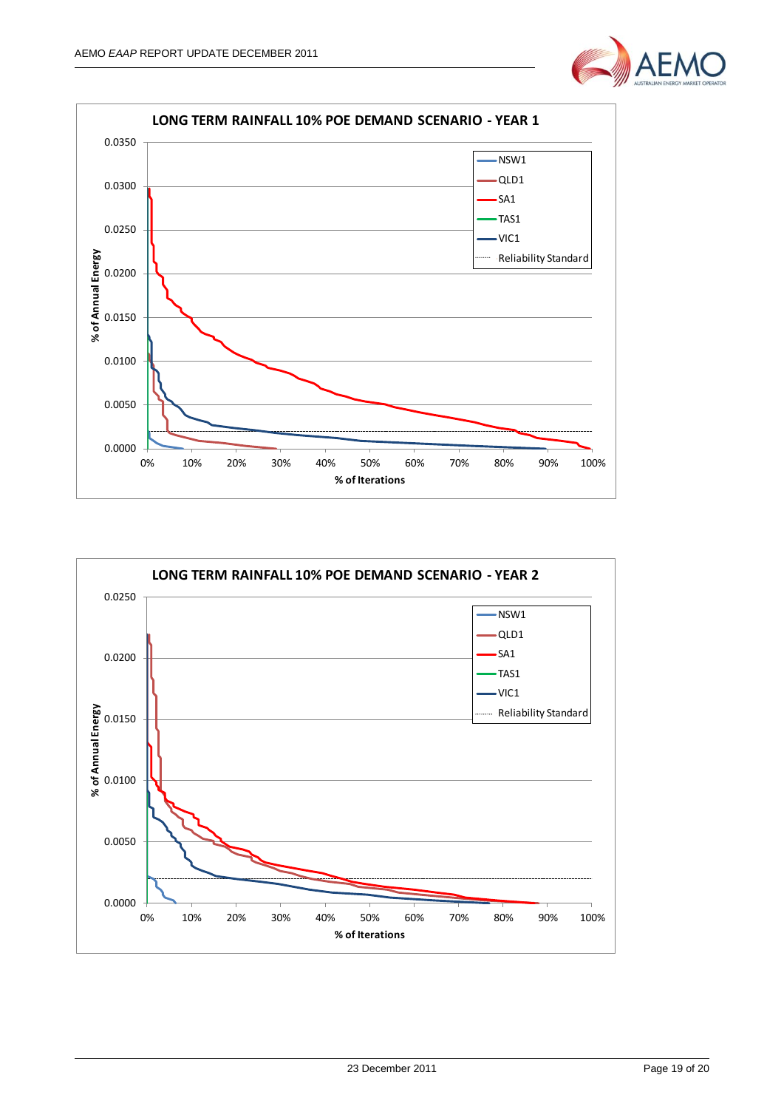